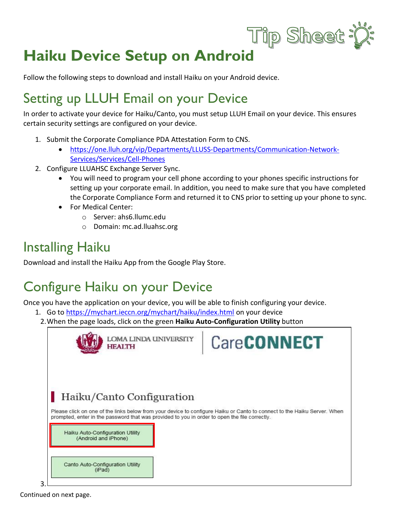# **Haiku Device Setup on Android**

Follow the following steps to download and install Haiku on your Android device.

## Setting up LLUH Email on your Device

In order to activate your device for Haiku/Canto, you must setup LLUH Email on your device. This ensures certain security settings are configured on your device.

- 1. Submit the Corporate Compliance PDA Attestation Form to CNS.
	- [https://one.lluh.org/vip/Departments/LLUSS-Departments/Communication-Network-](https://one.lluh.org/vip/Departments/LLUSS-Departments/Communication-Network-Services/Services/Cell-Phones)[Services/Services/Cell-Phones](https://one.lluh.org/vip/Departments/LLUSS-Departments/Communication-Network-Services/Services/Cell-Phones)
- 2. Configure LLUAHSC Exchange Server Sync.
	- You will need to program your cell phone according to your phones specific instructions for setting up your corporate email. In addition, you need to make sure that you have completed the Corporate Compliance Form and returned it to CNS prior to setting up your phone to sync.

Tip Sheet:

- For Medical Center:
	- o Server: ahs6.llumc.edu
	- o Domain: mc.ad.lluahsc.org

### Installing Haiku

Download and install the Haiku App from the Google Play Store.

## Configure Haiku on your Device

Once you have the application on your device, you will be able to finish configuring your device.

- 1. Go to <https://mychart.ieccn.org/mychart/haiku/index.html> on your device
	- 2.When the page loads, click on the green **Haiku Auto-Configuration Utility** button